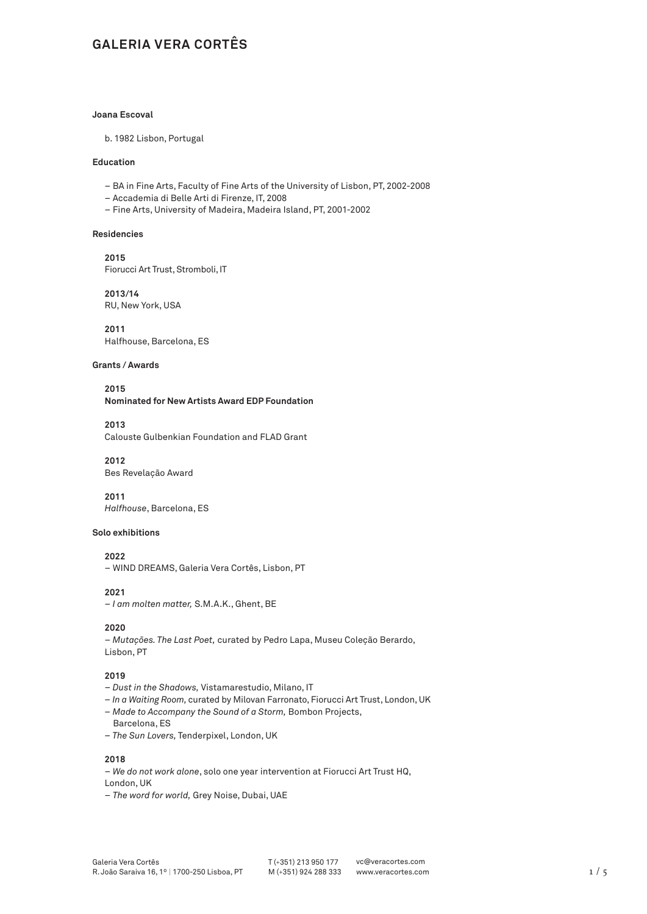# **GALERIA VERA CORTÊS**

# **Joana Escoval**

b. 1982 Lisbon, Portugal

# **Education**

- BA in Fine Arts, Faculty of Fine Arts of the University of Lisbon, PT, 2002-2008
- Accademia di Belle Arti di Firenze, IT, 2008
- Fine Arts, University of Madeira, Madeira Island, PT, 2001-2002

#### **Residencies**

**2015** Fiorucci Art Trust, Stromboli, IT

**2013/14**  RU, New York, USA

**2011** Halfhouse, Barcelona, ES

#### **Grants / Awards**

**2015 Nominated for New Artists Award EDP Foundation**

**2013**

Calouste Gulbenkian Foundation and FLAD Grant

**2012** Bes Revelação Award

**2011**  *Halfhouse*, Barcelona, ES

#### **Solo exhibitions**

**2022**

– WIND DREAMS, Galeria Vera Cortês, Lisbon, PT

**2021**

– *I am molten matter,* S.M.A.K., Ghent, BE

#### **2020**

– *Mutações. The Last Poet,* curated by Pedro Lapa, Museu Coleção Berardo, Lisbon, PT

#### **2019**

- – *Dust in the Shadows,* Vistamarestudio, Milano, IT
- *In a Waiting Room,* curated by Milovan Farronato, Fiorucci Art Trust, London, UK
- *Made to Accompany the Sound of a Storm,* Bombon Projects,
- Barcelona, ES
- *The Sun Lovers,* Tenderpixel, London, UK

**2018**

– *We do not work alone*, solo one year intervention at Fiorucci Art Trust HQ, London, UK

– *The word for world,* Grey Noise, Dubai, UAE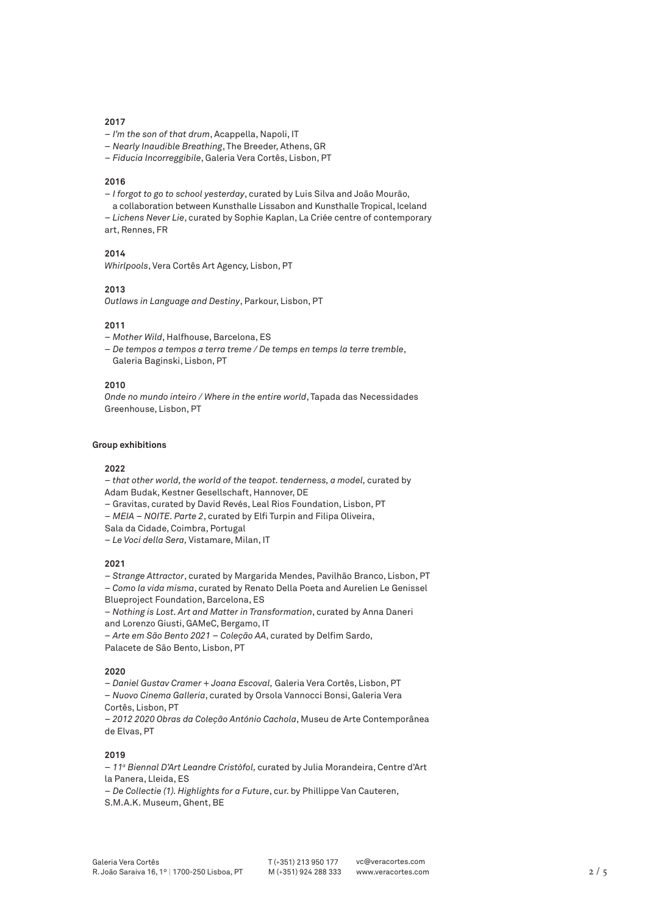#### **2017**

- *I'm the son of that drum*, Acappella, Napoli, IT
- *Nearly Inaudible Breathing*, The Breeder, Athens, GR
- *Fiducia Incorreggibile*, Galeria Vera Cortês, Lisbon, PT

#### **2016**

- *I forgot to go to school yesterday*, curated by Luis Silva and João Mourão,
- a collaboration between Kunsthalle Lissabon and Kunsthalle Tropical, Iceland
- *Lichens Never Lie*, curated by Sophie Kaplan, La Criée centre of contemporary
- art, Rennes, FR

# **2014**

*Whirlpools*, Vera Cortês Art Agency, Lisbon, PT

#### **2013**

*Outlaws in Language and Destiny*, Parkour, Lisbon, PT

#### **2011**

- *Mother Wild*, Halfhouse, Barcelona, ES
- *De tempos a tempos a terra treme / De temps en temps la terre tremble*, Galeria Baginski, Lisbon, PT

## **2010**

*Onde no mundo inteiro / Where in the entire world*, Tapada das Necessidades Greenhouse, Lisbon, PT

#### **Group exhibitions**

#### **2022**

– *that other world, the world of the teapot. tenderness, a model,* curated by Adam Budak, Kestner Gesellschaft, Hannover, DE

- Gravitas, curated by David Revés, Leal Rios Foundation, Lisbon, PT
- *MEIA NOITE. Parte 2*, curated by Elfi Turpin and Filipa Oliveira,
- Sala da Cidade, Coimbra, Portugal
- – *Le Voci della Sera,* Vistamare, Milan, IT

# **2021**

– *Strange Attractor*, curated by Margarida Mendes, Pavilhão Branco, Lisbon, PT

– *Como la vida misma*, curated by Renato Della Poeta and Aurelien Le Genissel Blueproject Foundation, Barcelona, ES

– *Nothing is Lost. Art and Matter in Transformation*, curated by Anna Daneri and Lorenzo Giusti, GAMeC, Bergamo, IT

– *Arte em São Bento 2021 – Coleção AA*, curated by Delfim Sardo,

Palacete de São Bento, Lisbon, PT

# **2020**

– *Daniel Gustav Cramer + Joana Escoval,* Galeria Vera Cortês, Lisbon, PT

*– Nuovo Cinema Galleria*, curated by Orsola Vannocci Bonsi, Galeria Vera Cortês, Lisbon, PT

– *2012 2020 Obras da Coleção António Cachola*, Museu de Arte Contemporânea de Elvas, PT

### **2019**

– *11a Biennal D'Art Leandre Cristòfol,* curated by Julia Morandeira, Centre d'Art la Panera, Lleida, ES

– *De Collectie (1). Highlights for a Future*, cur. by Phillippe Van Cauteren, S.M.A.K. Museum, Ghent, BE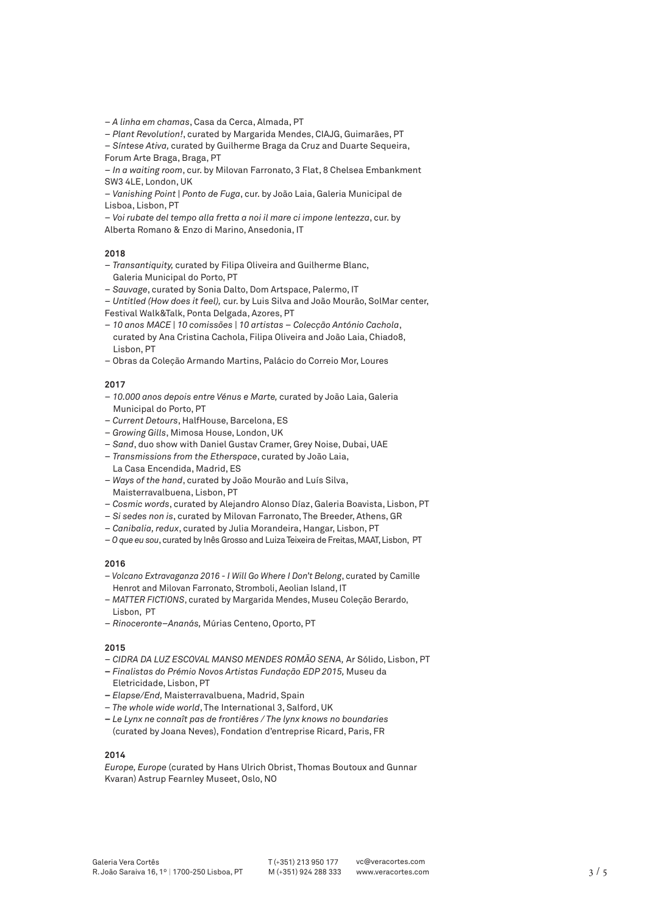– *A linha em chamas*, Casa da Cerca, Almada, PT

– *Plant Revolution!*, curated by Margarida Mendes, CIAJG, Guimarães, PT

– *Síntese Ativa,* curated by Guilherme Braga da Cruz and Duarte Sequeira,

Forum Arte Braga, Braga, PT

– *In a waiting room*, cur. by Milovan Farronato, 3 Flat, 8 Chelsea Embankment SW3 4LE, London, UK

– *Vanishing Point | Ponto de Fuga*, cur. by João Laia, Galeria Municipal de Lisboa, Lisbon, PT

– *Voi rubate del tempo alla fretta a noi il mare ci impone lentezza*, cur. by Alberta Romano & Enzo di Marino, Ansedonia, IT

## **2018**

- *Transantiquity,* curated by Filipa Oliveira and Guilherme Blanc, Galeria Municipal do Porto, PT
- *Sauvage*, curated by Sonia Dalto, Dom Artspace, Palermo, IT

– *Untitled (How does it feel),* cur. by Luis Silva and João Mourão, SolMar center, Festival Walk&Talk, Ponta Delgada, Azores, PT

- *10 anos MACE | 10 comissões | 10 artistas Colecção António Cachola*, curated by Ana Cristina Cachola, Filipa Oliveira and João Laia, Chiado8, Lisbon, PT
- Obras da Coleção Armando Martins, Palácio do Correio Mor, Loures

#### **2017**

- *10.000 anos depois entre Vénus e Marte,* curated by João Laia, Galeria Municipal do Porto, PT
- *Current Detours*, HalfHouse, Barcelona, ES
- *Growing Gills*, Mimosa House, London, UK
- *Sand*, duo show with Daniel Gustav Cramer, Grey Noise, Dubai, UAE
- *Transmissions from the Etherspace*, curated by João Laia, La Casa Encendida, Madrid, ES
- *Ways of the hand*, curated by João Mourão and Luís Silva, Maisterravalbuena, Lisbon, PT
- *Cosmic words*, curated by Alejandro Alonso Díaz, Galeria Boavista, Lisbon, PT
- *Si sedes non is*, curated by Milovan Farronato, The Breeder, Athens, GR
- *Canibalia, redux*, curated by Julia Morandeira, Hangar, Lisbon, PT
- *O que eu sou*, curated by Inês Grosso and Luiza Teixeira de Freitas, MAAT, Lisbon, PT

# **2016**

- – *Volcano Extravaganza 2016 I Will Go Where I Don't Belong*, curated by Camille Henrot and Milovan Farronato, Stromboli, Aeolian Island, IT
- *MATTER FICTIONS*, curated by Margarida Mendes, Museu Coleção Berardo, Lisbon, PT
- *Rinoceronte–Ananás,* Múrias Centeno, Oporto, PT

# **2015**

- *CIDRA DA LUZ ESCOVAL MANSO MENDES ROMÃO SENA,* Ar Sólido, Lisbon, PT
- *Finalistas do Prémio Novos Artistas Fundação EDP 2015,* Museu da Eletricidade, Lisbon, PT
- *Elapse/End,* Maisterravalbuena, Madrid, Spain
- *The whole wide world*, The International 3, Salford, UK
- *Le Lynx ne connaît pas de frontiêres / The lynx knows no boundaries*  (curated by Joana Neves), Fondation d'entreprise Ricard, Paris, FR

### **2014**

*Europe, Europe* (curated by Hans Ulrich Obrist, Thomas Boutoux and Gunnar Kvaran) Astrup Fearnley Museet, Oslo, NO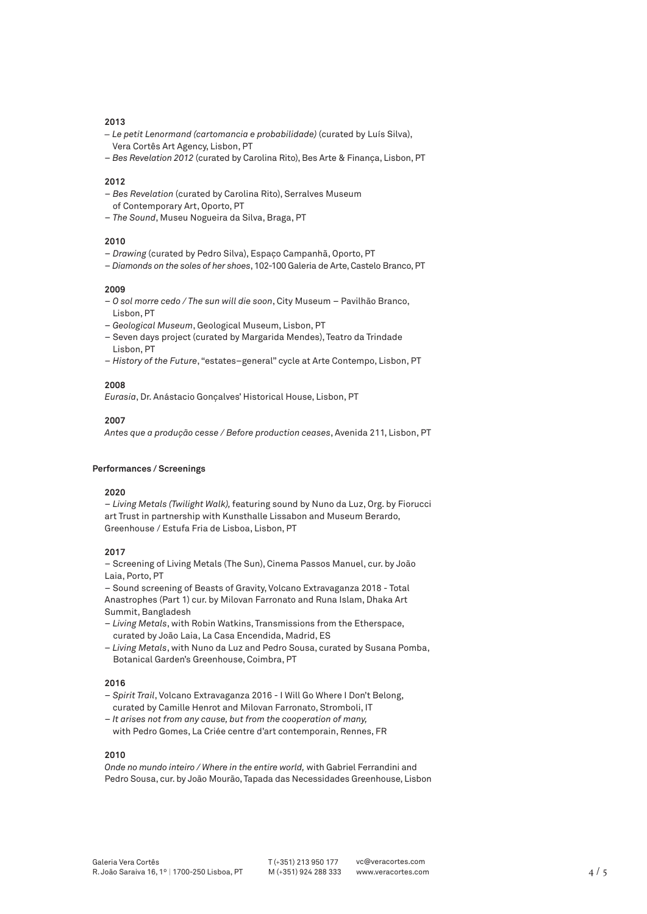## **2013**

- *Le petit Lenormand (cartomancia e probabilidade)* (curated by Luís Silva), Vera Cortês Art Agency, Lisbon, PT
- *Bes Revelation 2012* (curated by Carolina Rito), Bes Arte & Finança, Lisbon, PT

#### **2012**

- *Bes Revelation* (curated by Carolina Rito), Serralves Museum
- of Contemporary Art, Oporto, PT
- *The Sound*, Museu Nogueira da Silva, Braga, PT

# **2010**

- *Drawing* (curated by Pedro Silva), Espaço Campanhã, Oporto, PT
- *Diamonds on the soles of her shoes*, 102-100 Galeria de Arte, Castelo Branco, PT

#### **2009**

- *O sol morre cedo / The sun will die soon*, City Museum Pavilhão Branco, Lisbon, PT
- *Geological Museum*, Geological Museum, Lisbon, PT
- Seven days project (curated by Margarida Mendes), Teatro da Trindade Lisbon, PT
- *History of the Future*, "estates–general" cycle at Arte Contempo, Lisbon, PT

## **2008**

*Eurasia*, Dr. Anástacio Gonçalves' Historical House, Lisbon, PT

# **2007**

*Antes que a produção cesse / Before production ceases*, Avenida 211, Lisbon, PT

# **Performances / Screenings**

# **2020**

– *Living Metals (Twilight Walk),* featuring sound by Nuno da Luz, Org. by Fiorucci art Trust in partnership with Kunsthalle Lissabon and Museum Berardo, Greenhouse / Estufa Fria de Lisboa, Lisbon, PT

# **2017**

– Screening of Living Metals (The Sun), Cinema Passos Manuel, cur. by João Laia, Porto, PT

– Sound screening of Beasts of Gravity, Volcano Extravaganza 2018 - Total Anastrophes (Part 1) cur. by Milovan Farronato and Runa Islam, Dhaka Art Summit, Bangladesh

- *Living Metals*, with Robin Watkins, Transmissions from the Etherspace, curated by João Laia, La Casa Encendida, Madrid, ES
- *Living Metals*, with Nuno da Luz and Pedro Sousa, curated by Susana Pomba, Botanical Garden's Greenhouse, Coimbra, PT

#### **2016**

- *Spirit Trail*, Volcano Extravaganza 2016 I Will Go Where I Don't Belong, curated by Camille Henrot and Milovan Farronato, Stromboli, IT
- – *It arises not from any cause, but from the cooperation of many,* with Pedro Gomes, La Criée centre d'art contemporain, Rennes, FR

### **2010**

*Onde no mundo inteiro / Where in the entire world,* with Gabriel Ferrandini and Pedro Sousa, cur. by João Mourão, Tapada das Necessidades Greenhouse, Lisbon